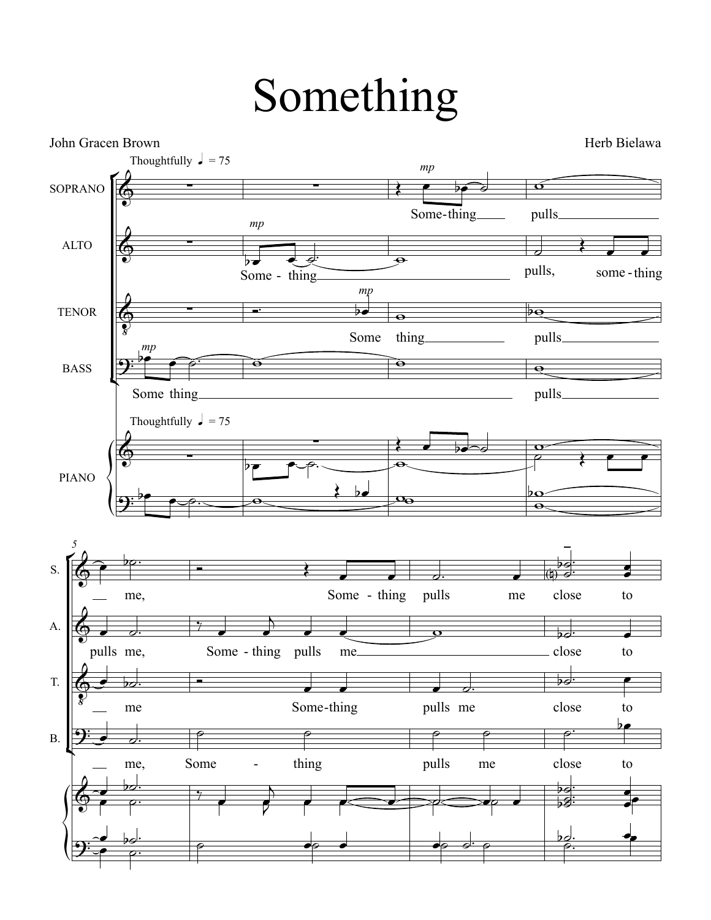# Something

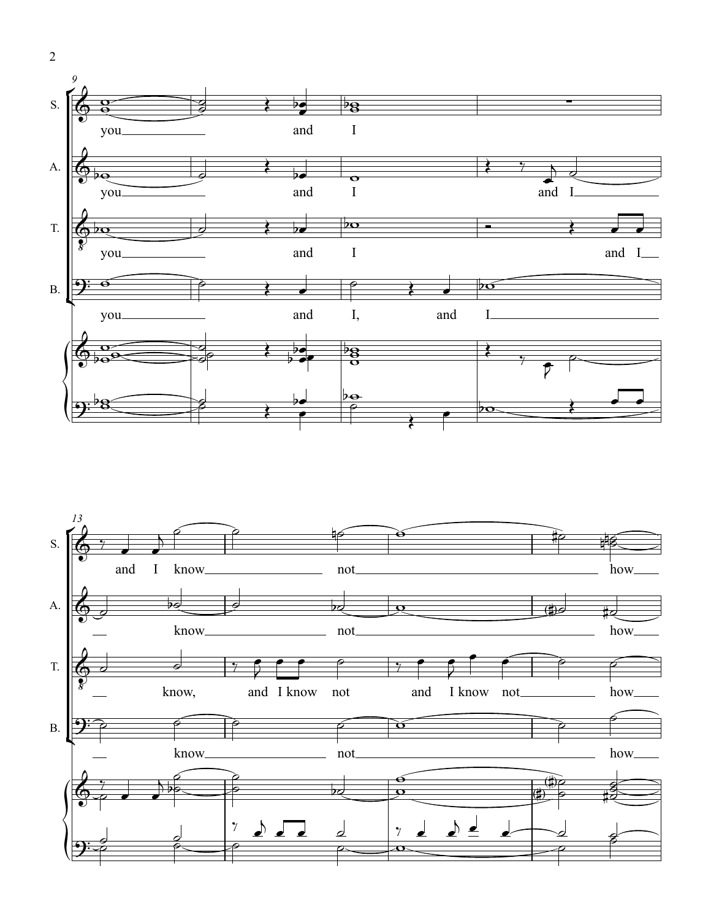



 $\overline{2}$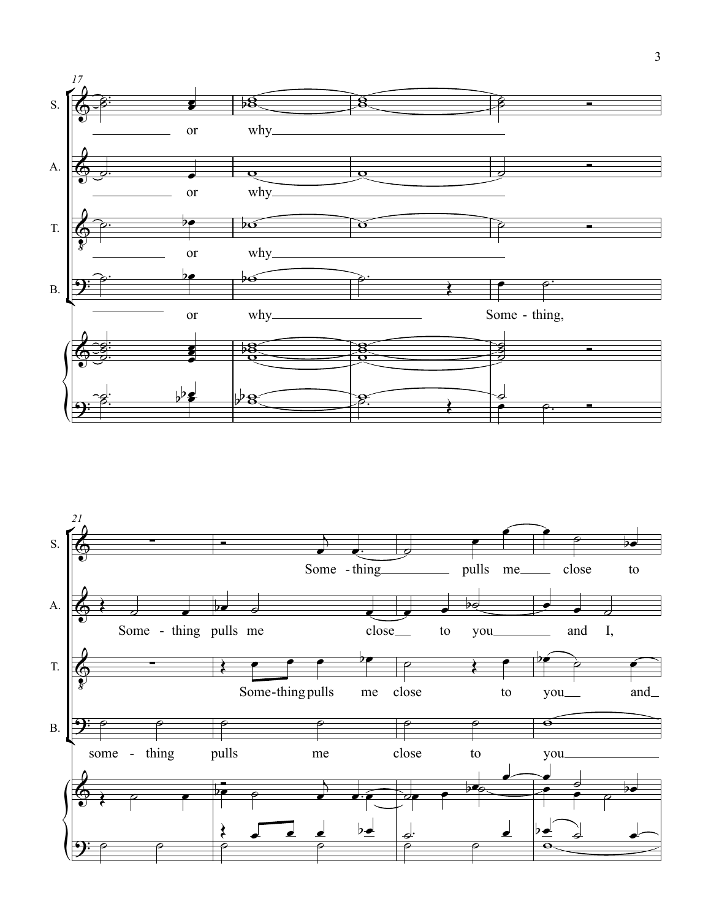

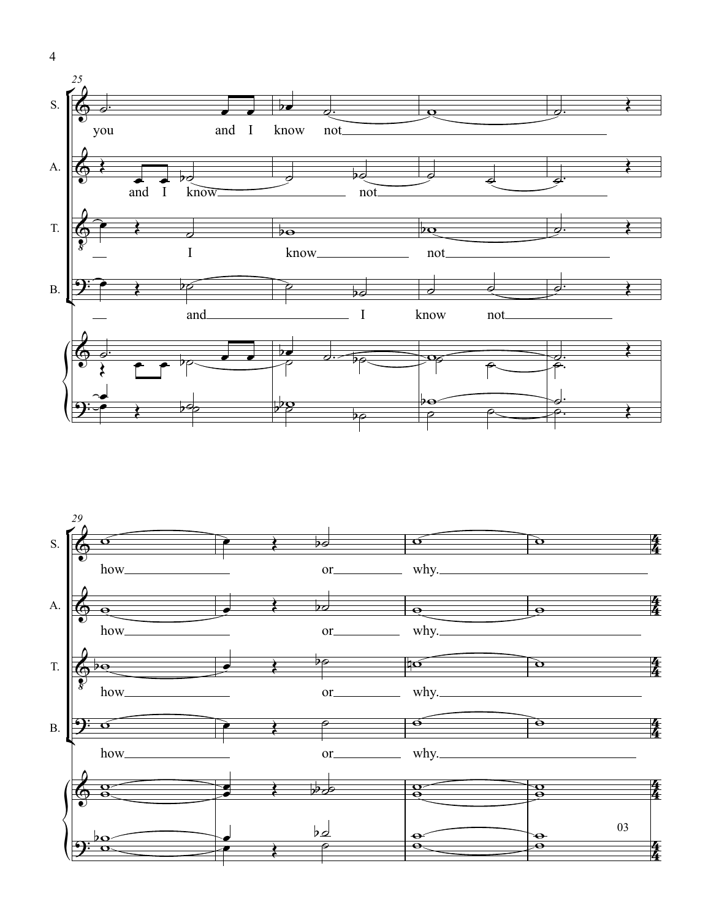

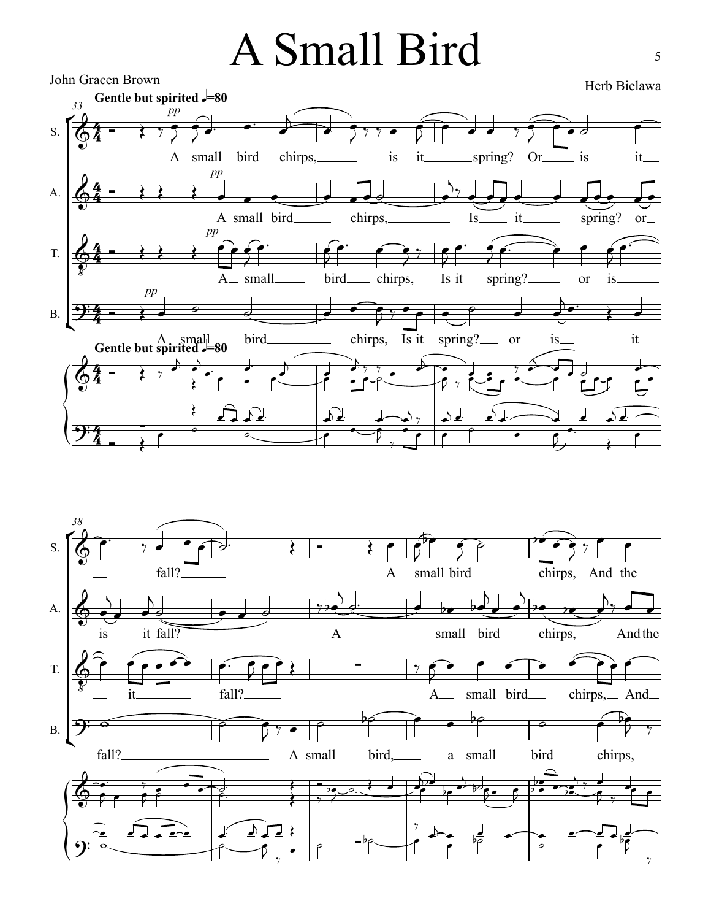# A Small Bird



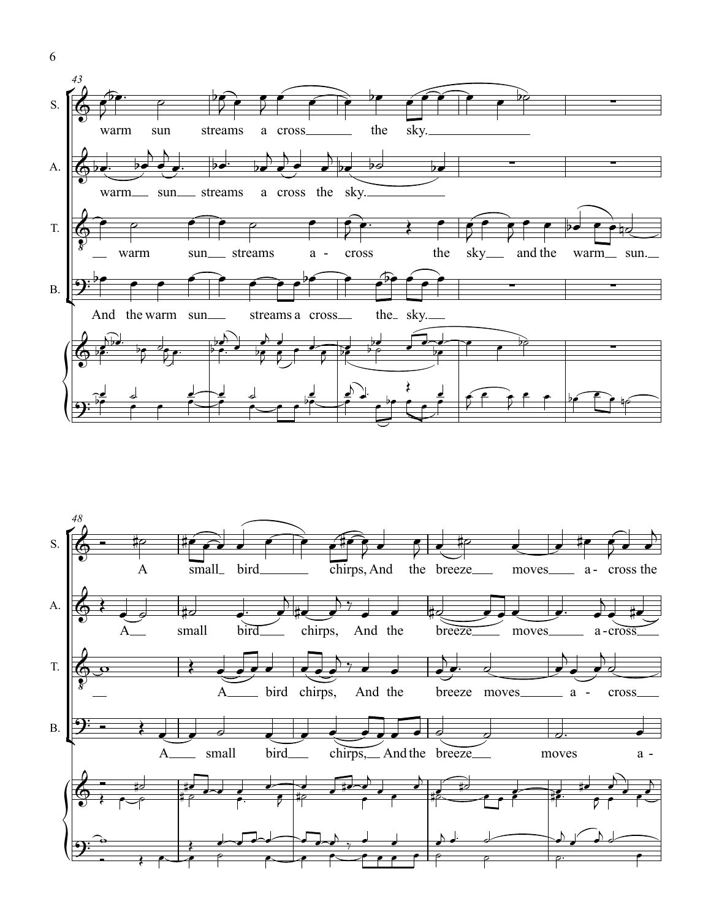

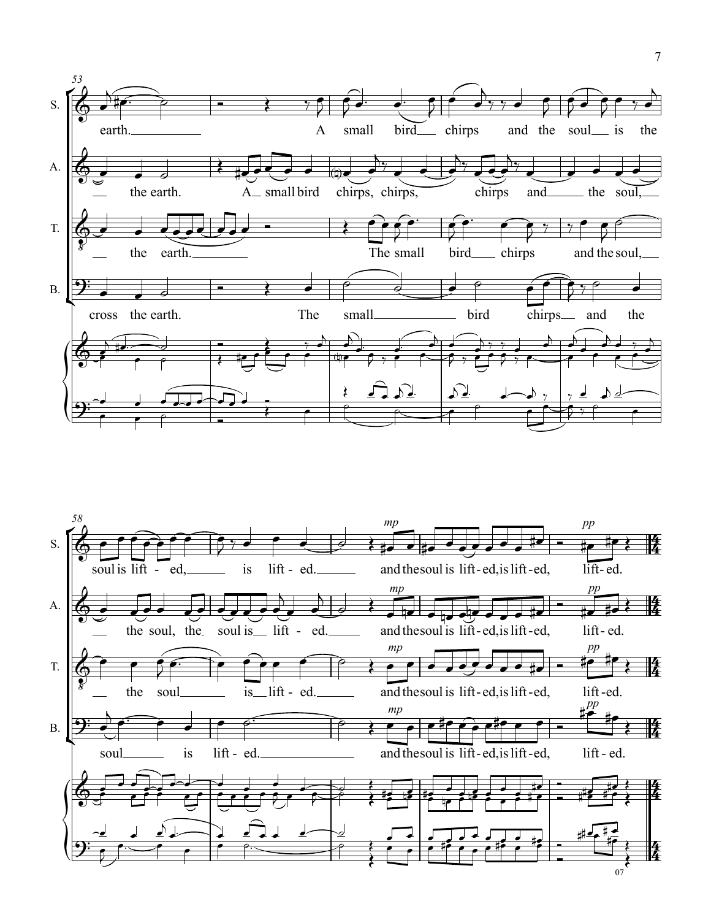

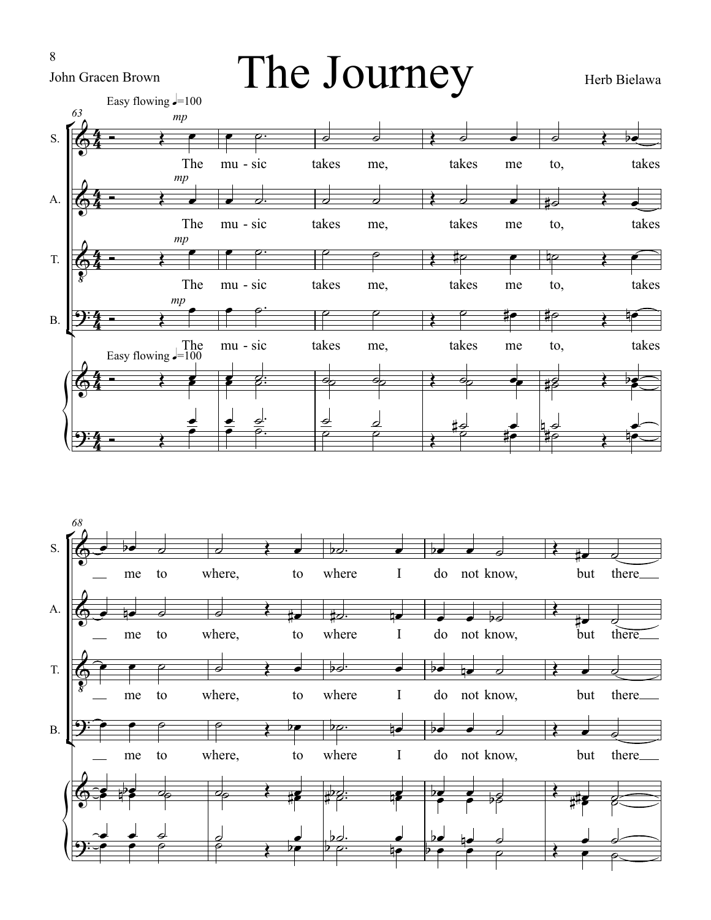### en Brown  $\prod_{\text{Easy flowing}} \prod_{+100}$  The Journey John Gracen Brown  $\Pi \subset \text{JOLIIICV}$  Herb Bielawa



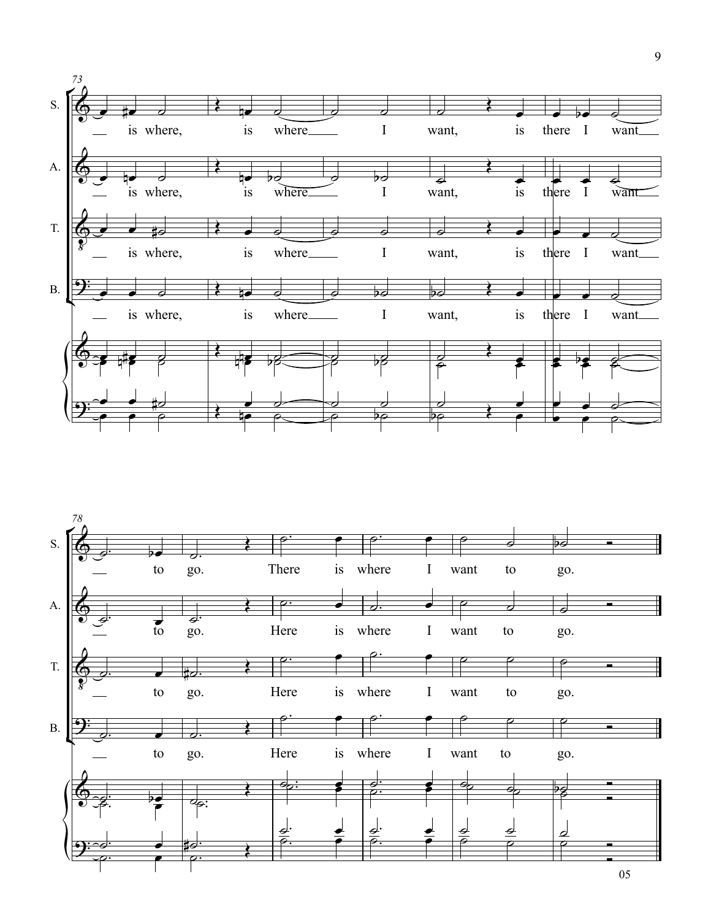

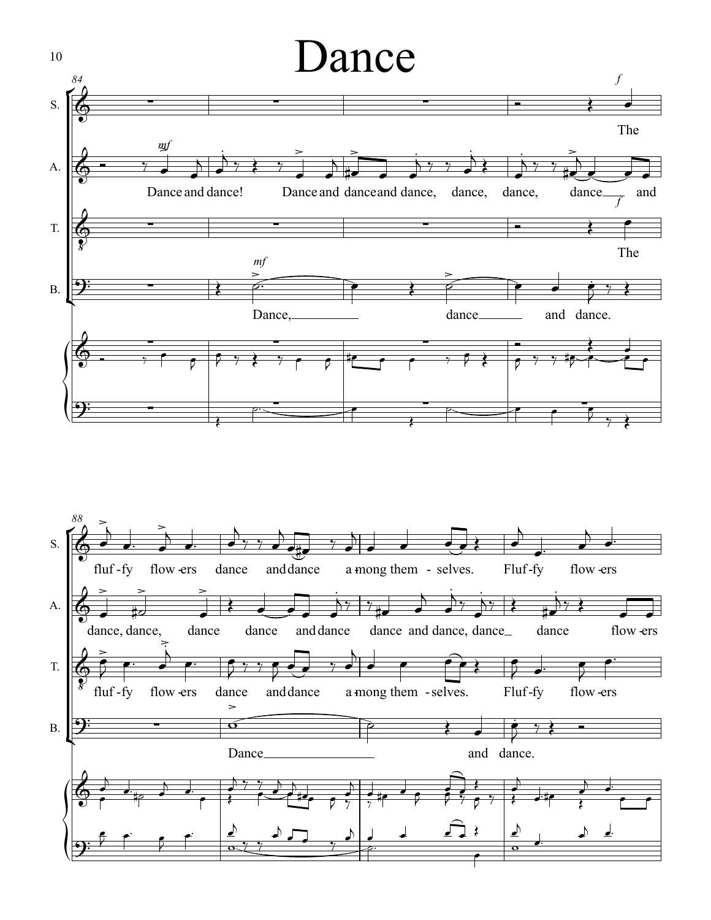### Dance



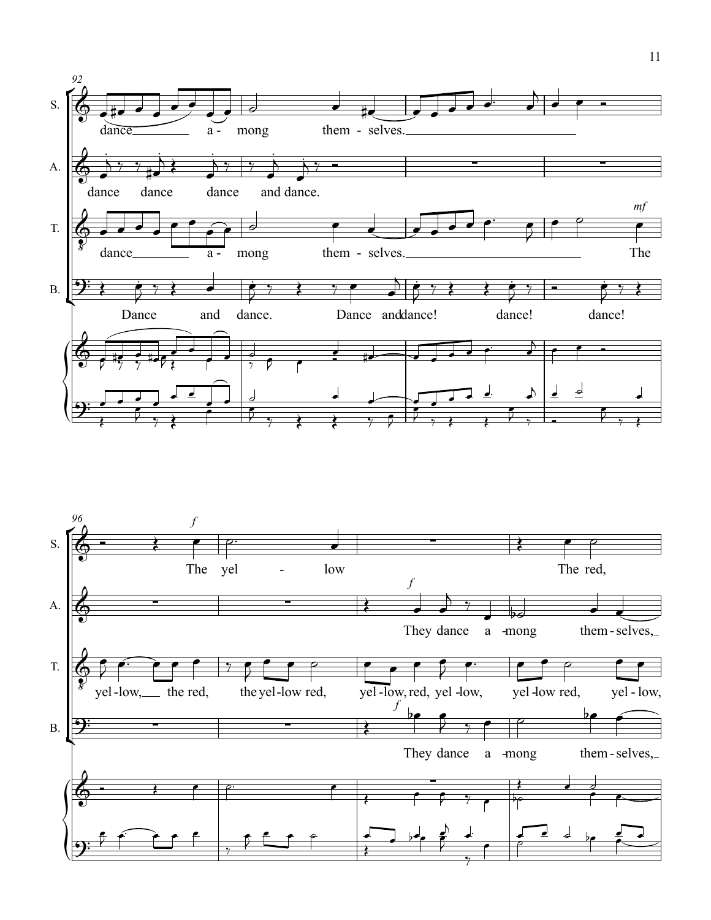

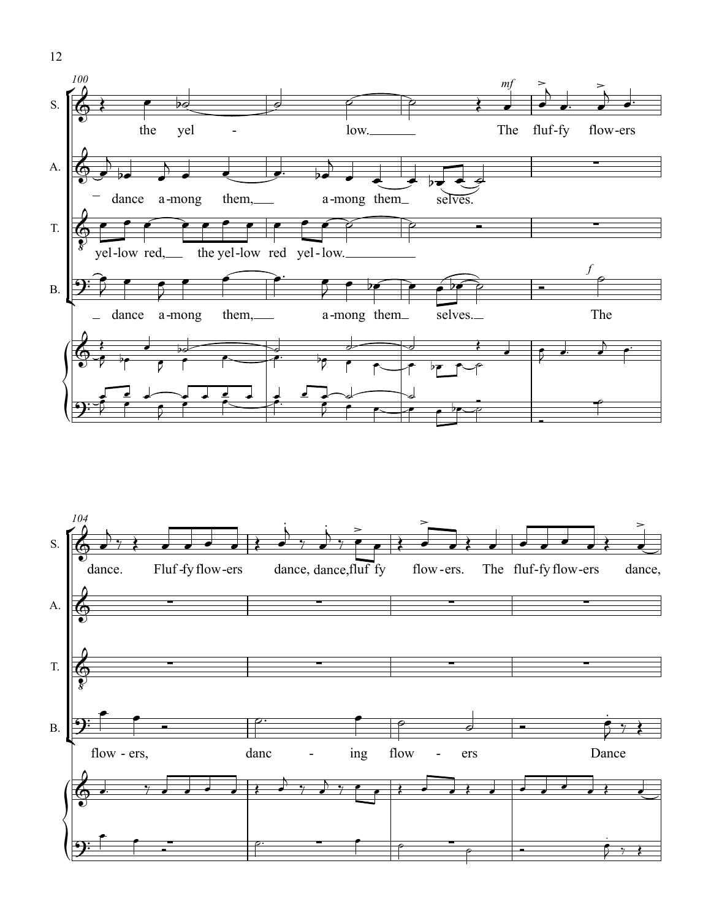

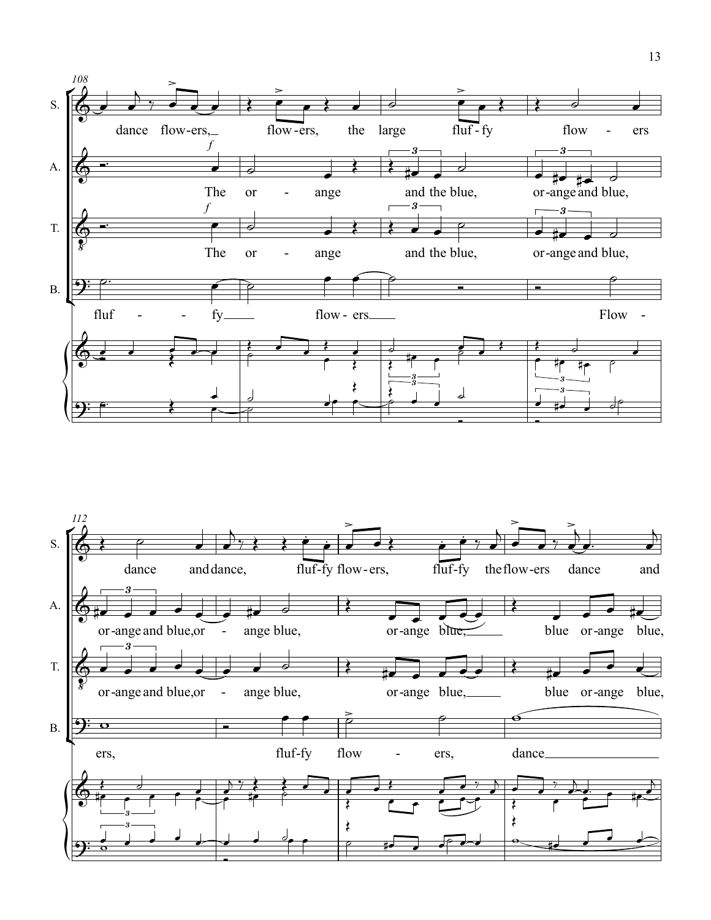

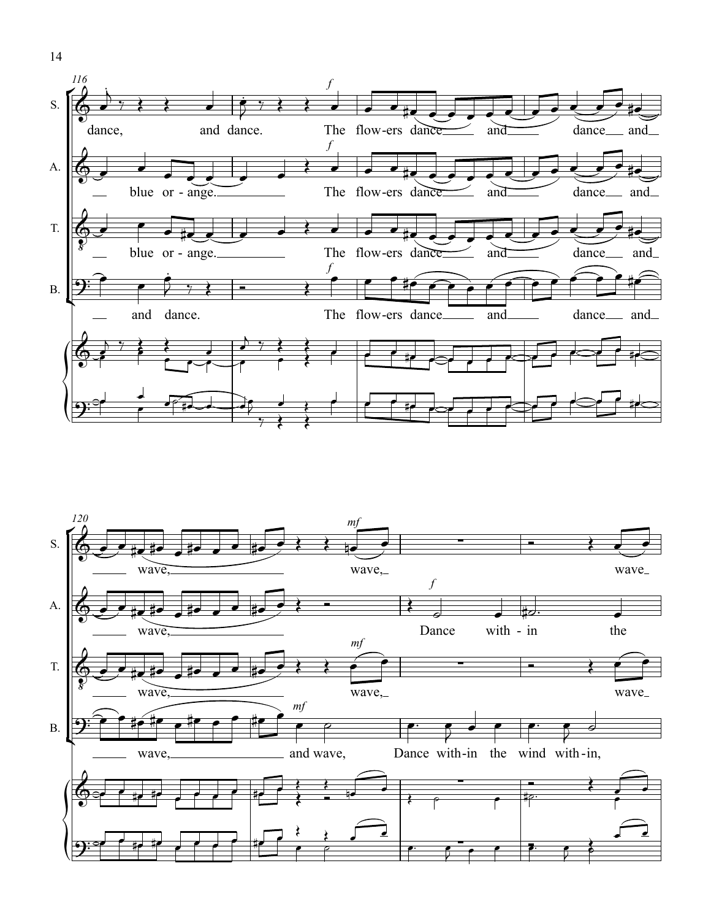

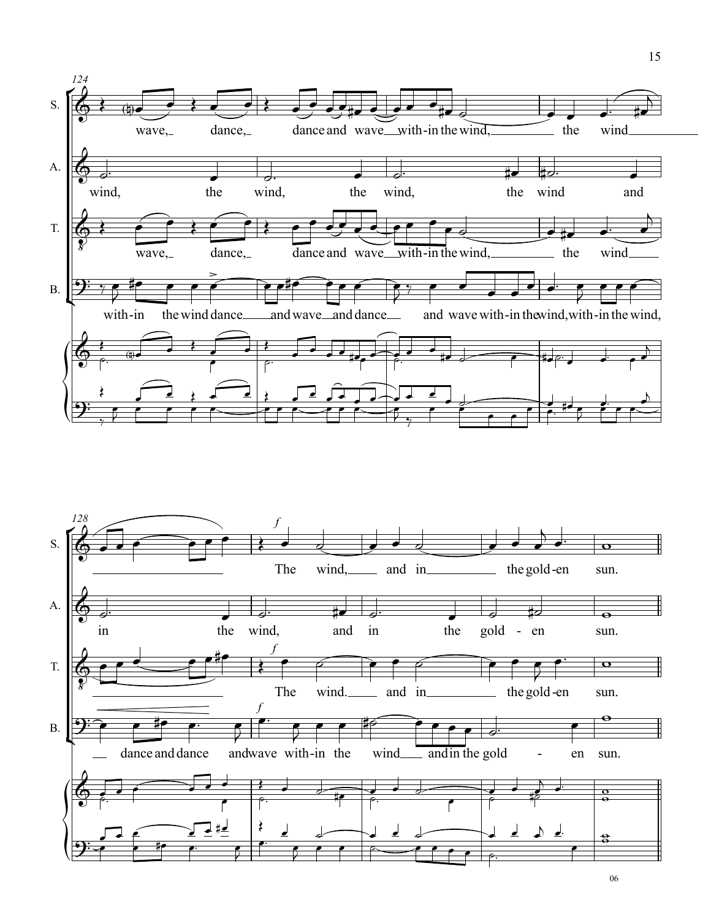

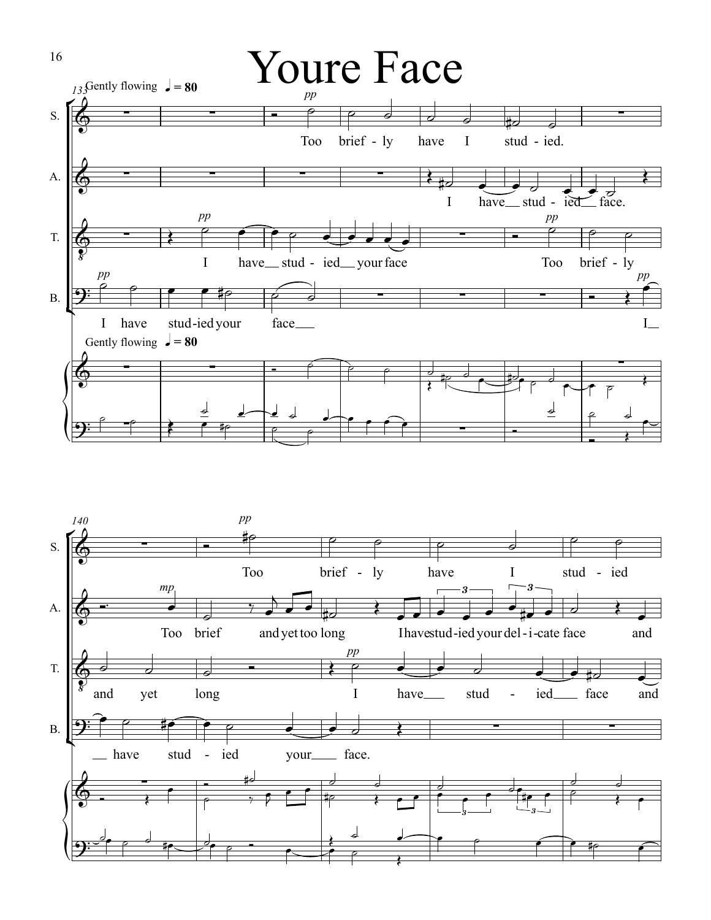

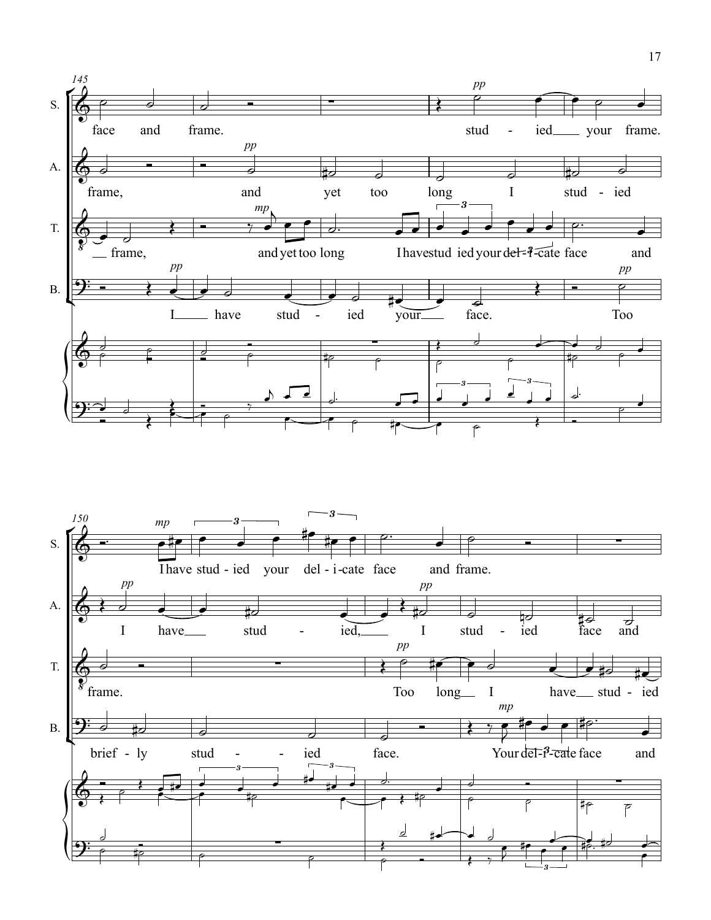

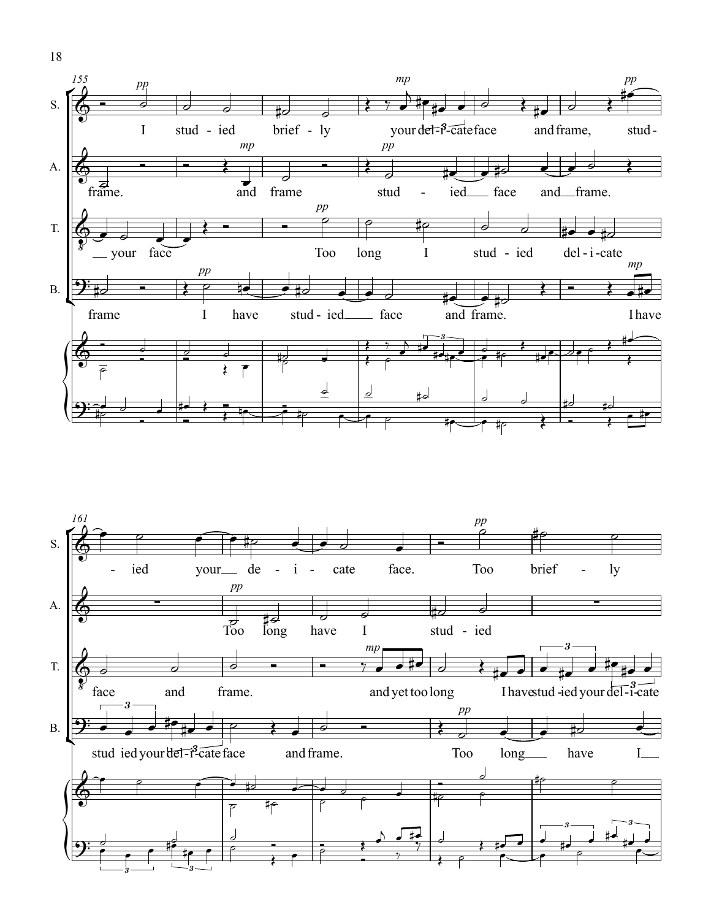

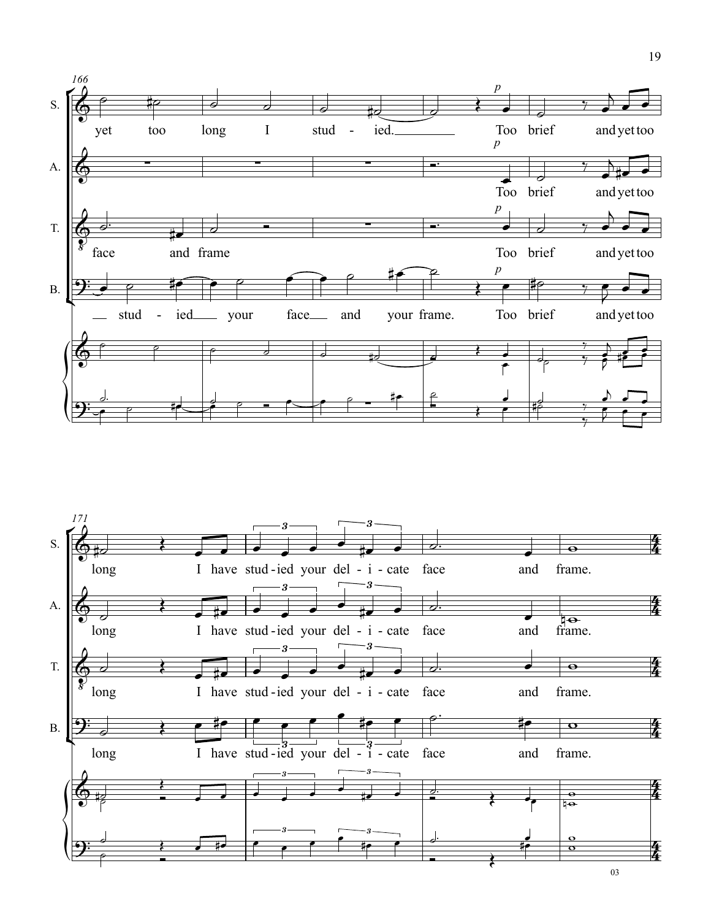

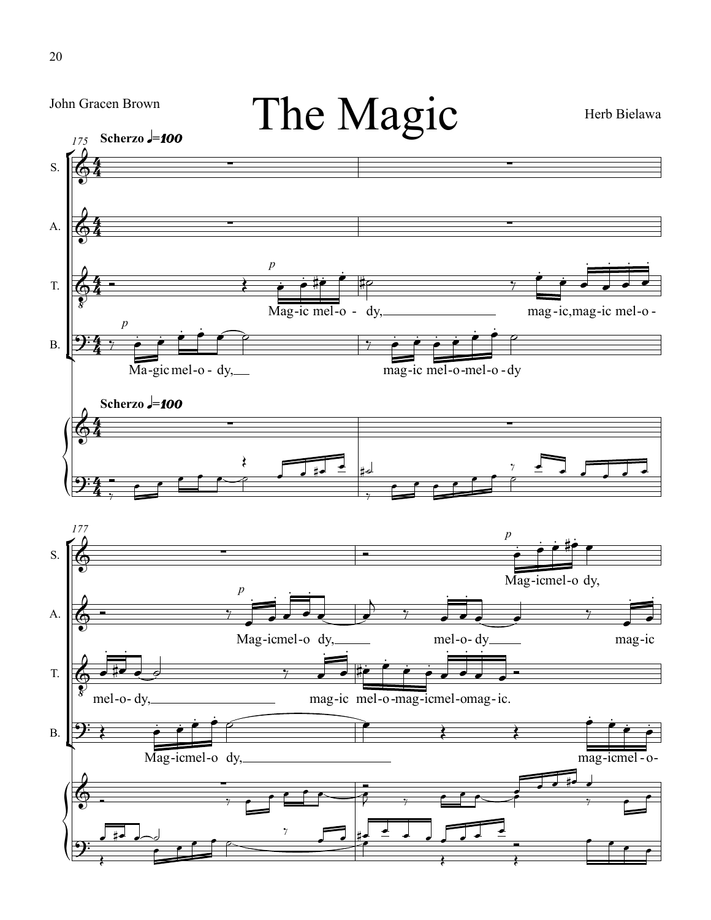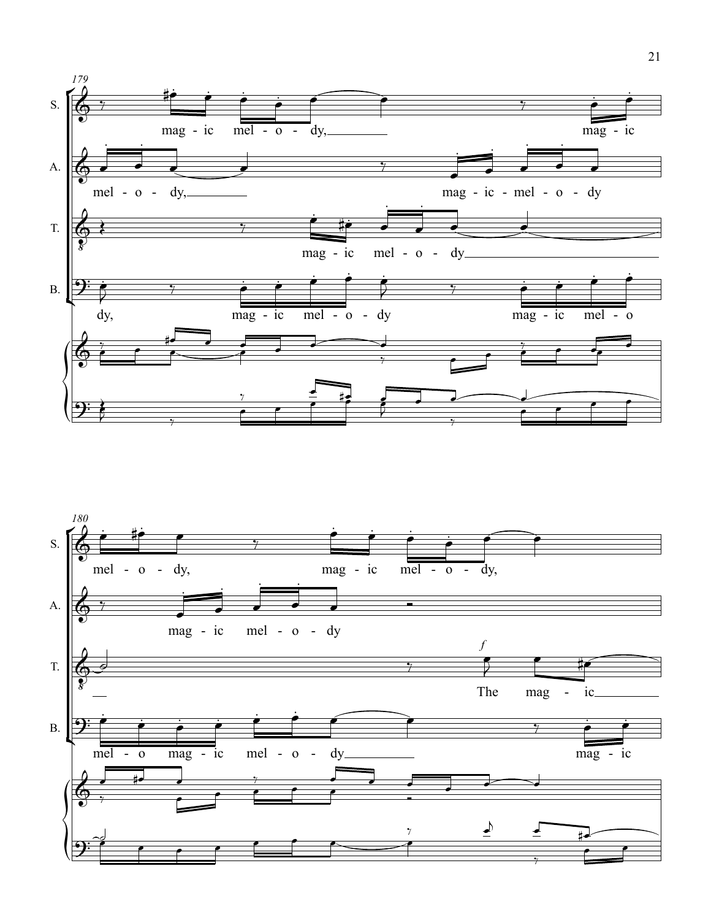

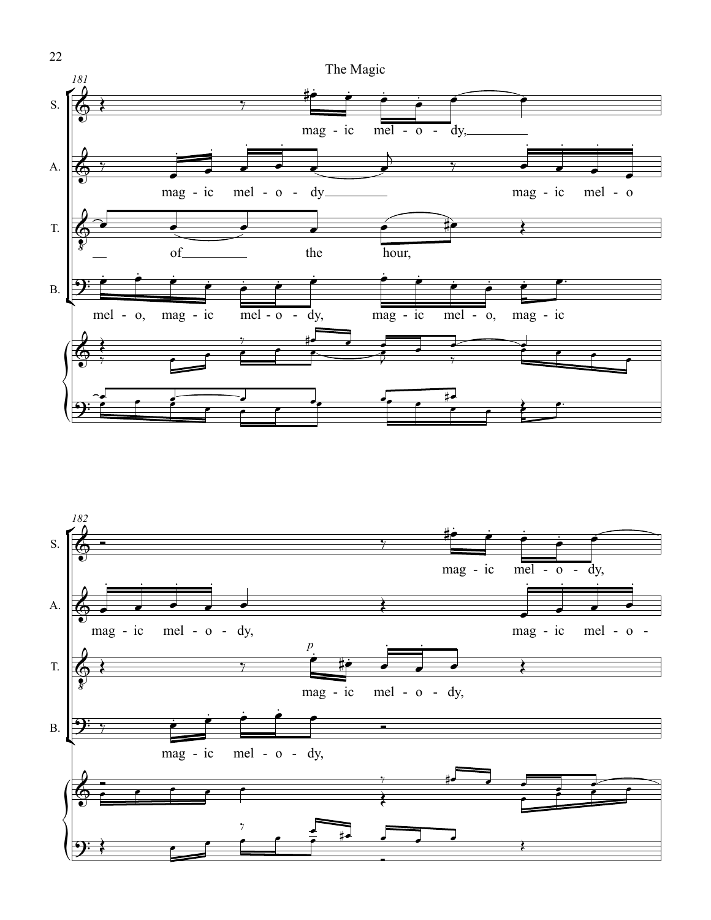

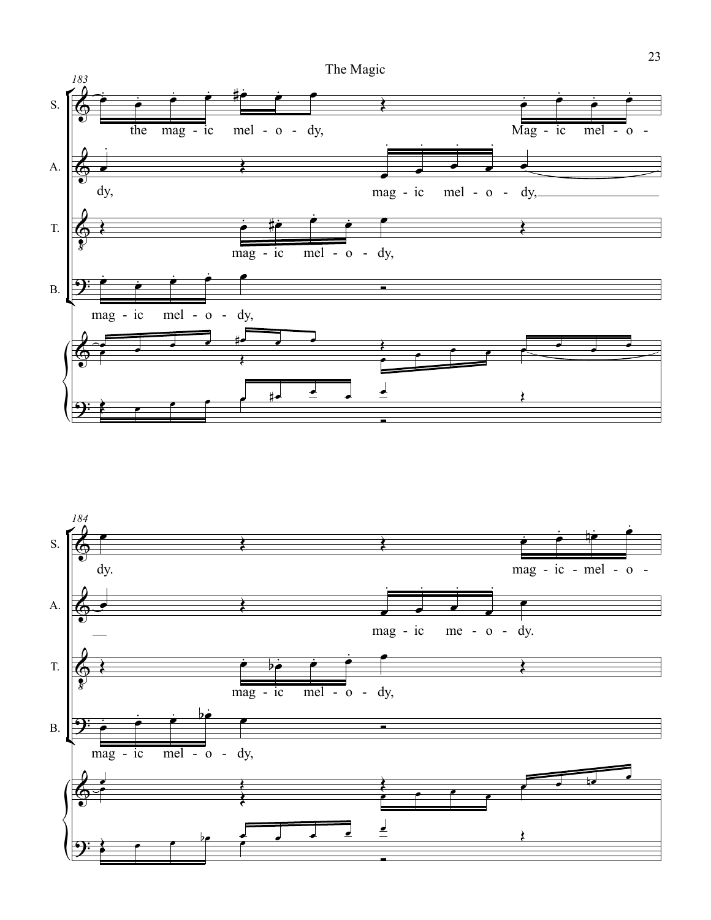

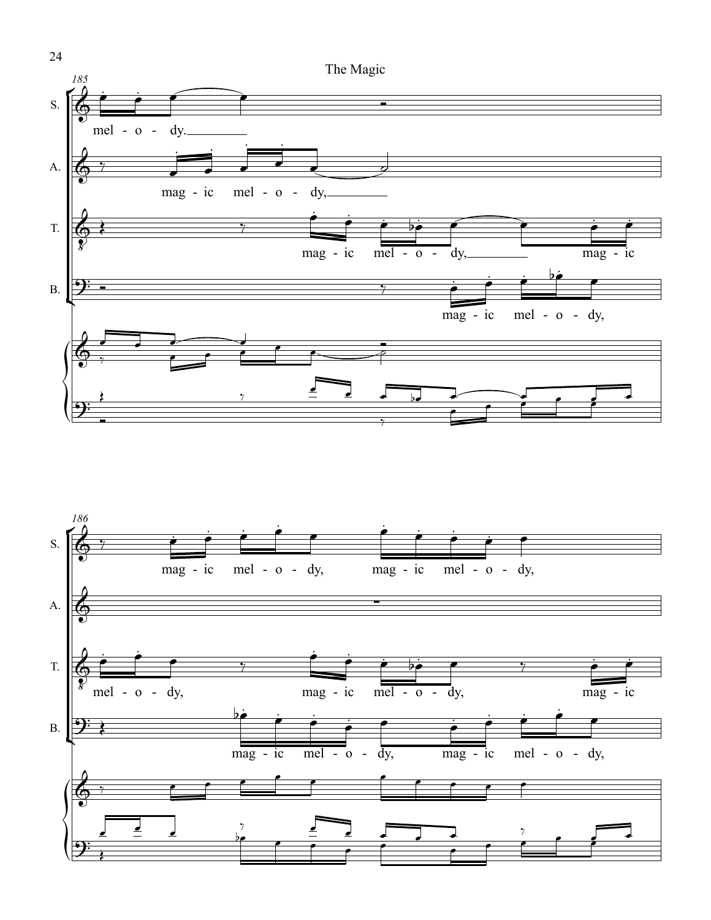

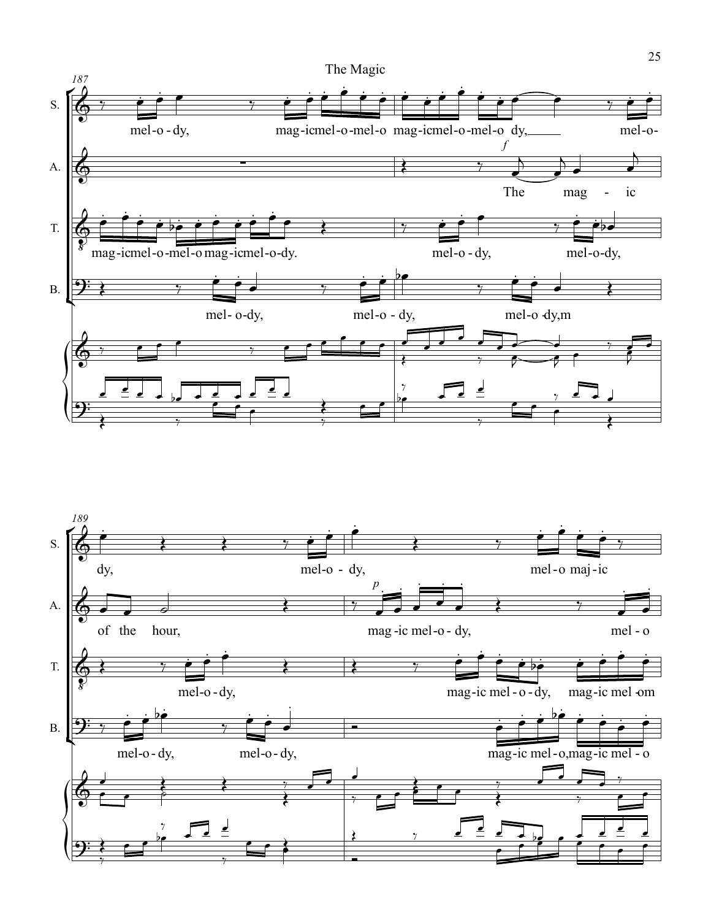

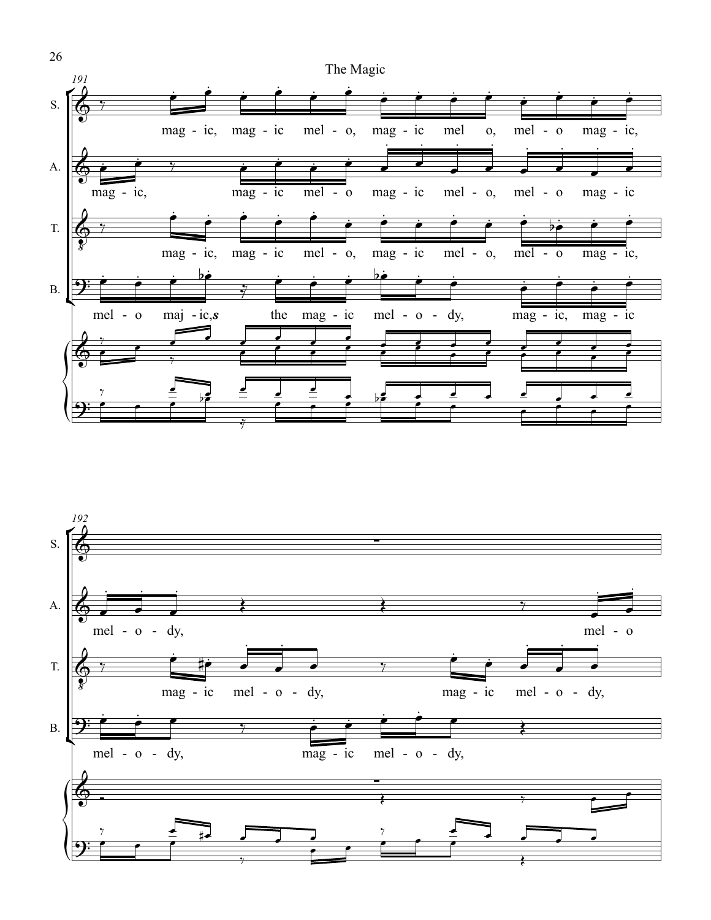



 $26\,$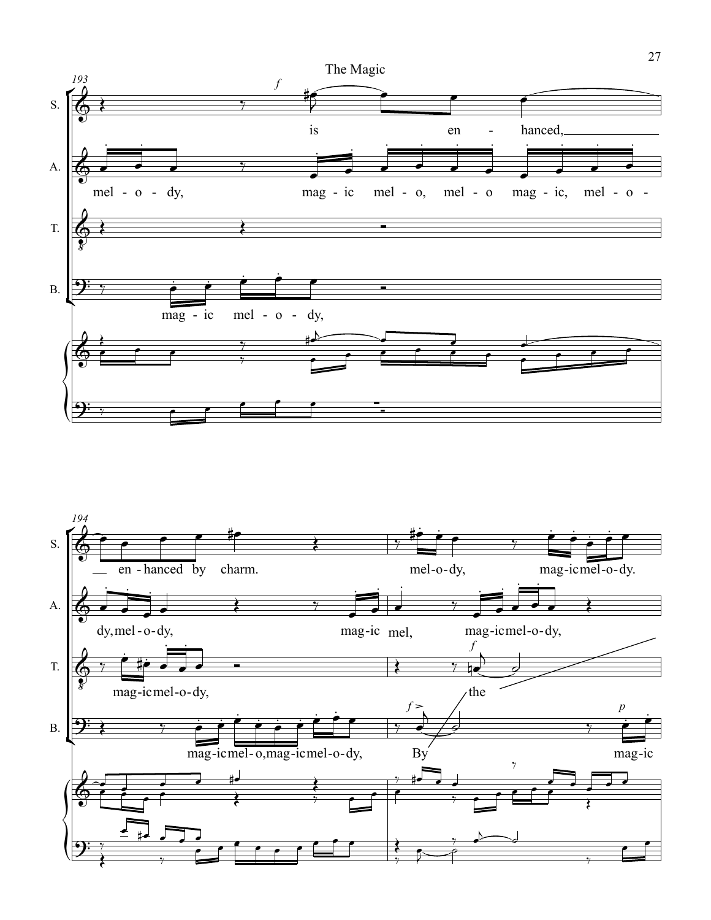

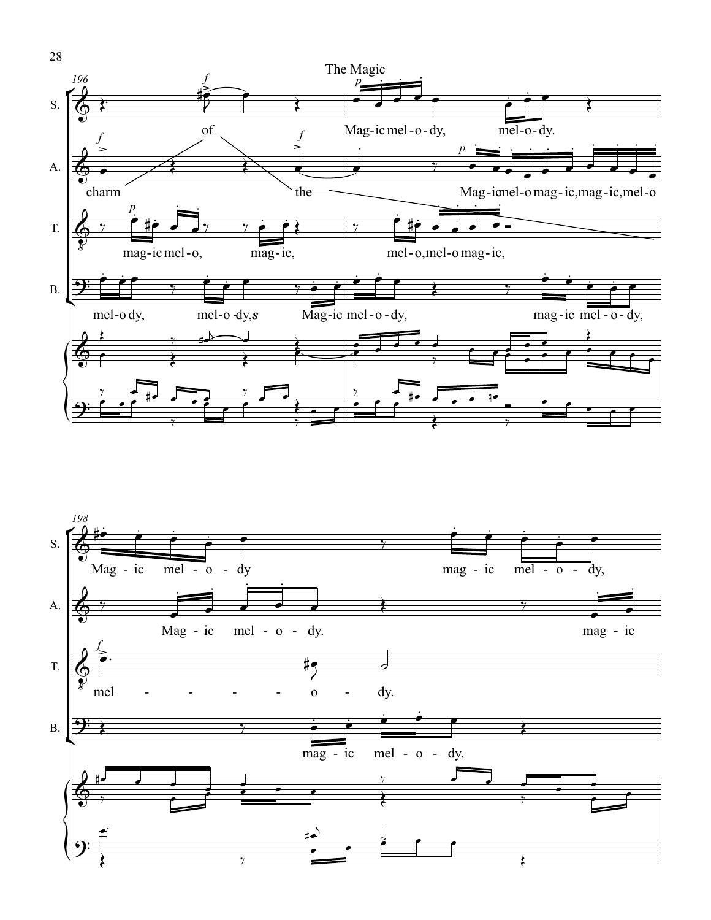